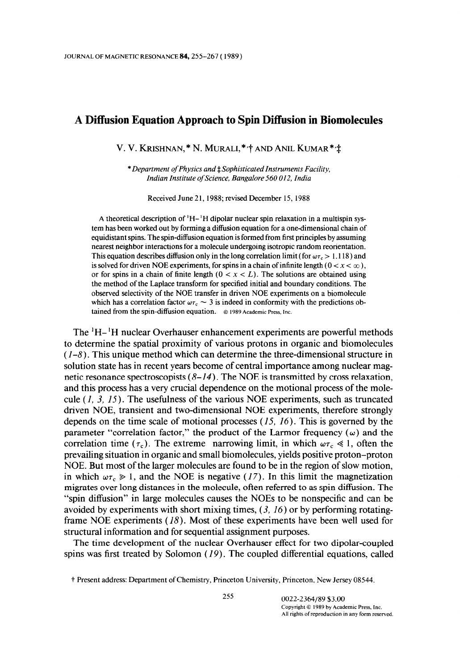# A Diffusion Equation Approach to Spin Diffusion in Biomolecules

V. V. KRISHNAN, \* N. MURALI, \* + AND ANIL KUMAR \* +

\* Department of Physics and  $\ddagger$  Sophisticated Instruments Facility, Indian Institute of Science, Bangalore 560 012, India

Received June 21, 1988; revised December 15, 1988

A theoretical description of 'H- 'H dipolar nuclear spin relaxation in a multispin system has been worked out by forming a diffusion equation for a one-dimensional chain of equidistant spins. The spin-diffusion equation is formed from first principles by assuming nearest neighbor interactions for a molecule undergoing isotropic random reorientation. This equation describes diffusion only in the long correlation limit (for  $\omega \tau_c > 1.118$ ) and is solved for driven NOE experiments, for spins in a chain of infinite length ( $0 < x < \infty$ ), or for spins in a chain of finite length  $(0 < x < L)$ . The solutions are obtained using the method of the Laplace transform for specified initial and boundary conditions. The observed selectivity of the NOE transfer in driven NOE experiments on a biomolecule which has a correlation factor  $\omega \tau_c \sim 3$  is indeed in conformity with the predictions obtained from the spin-diffusion equation. @ 1989 Academic Press, Inc.

The 'H- 'H nuclear Overhauser enhancement experiments are powerful methods to determine the spatial proximity of various protons in organic and biomolecules  $(1-8)$ . This unique method which can determine the three-dimensional structure in solution state has in recent years become of central importance among nuclear magnetic resonance spectroscopists  $(8-14)$ . The NOE is transmitted by cross relaxation, and this process has a very crucial dependence on the motional process of the molecule  $(1, 3, 15)$ . The usefulness of the various NOE experiments, such as truncated driven NOE, transient and two-dimensional NOE experiments, therefore strongly depends on the time scale of motional processes  $(15, 16)$ . This is governed by the parameter "correlation factor," the product of the Larmor frequency  $(\omega)$  and the correlation time ( $\tau_c$ ). The extreme narrowing limit, in which  $\omega \tau_c \ll 1$ , often the prevailing situation in organic and small biomolecules, yields positive proton-proton NOE. But most of the larger molecules are found to be in the region of slow motion, in which  $\omega \tau_c \gg 1$ , and the NOE is negative (17). In this limit the magnetization migrates over long distances in the molecule, often referred to as spin diffusion. The "spin diffusion" in large molecules causes the NOEs to be nonspecific and can be avoided by experiments with short mixing times,  $(3, 16)$  or by performing rotatingframe NOE experiments (18). Most of these experiments have been well used for structural information and for sequential assignment purposes.

The time development of the nuclear Overhauser effect for two dipolar-coupled spins was first treated by Solomon  $(19)$ . The coupled differential equations, called

t Present address: Department of Chemistry, Princeton University, Princeton, New Jersey 08544.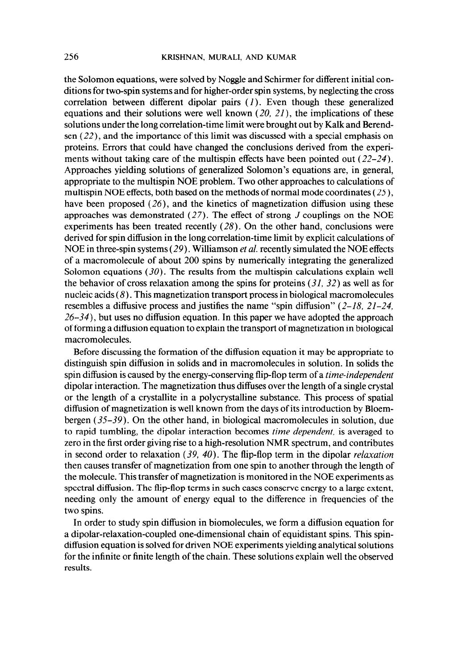the Solomon equations, were solved by Noggle and Schirmer for different initial conditions for two-spin systems and for higher-order spin systems, by neglecting the cross correlation between different dipolar pairs  $(1)$ . Even though these generalized equations and their solutions were well known  $(20, 21)$ , the implications of these solutions under the long correlation-time limit were brought out by Kalk and Berendsen (22)) and the importance of this limit was discussed with a special emphasis on proteins. Errors that could have changed the conclusions derived from the experiments without taking care of the multispin effects have been pointed out (22-24). Approaches yielding solutions of generalized Solomon's equations are, in general, appropriate to the multispin NOE problem. Two other approaches to calculations of multispin NOE effects, both based on the methods of normal mode coordinates  $(25)$ , have been proposed  $(26)$ , and the kinetics of magnetization diffusion using these approaches was demonstrated  $(27)$ . The effect of strong J couplings on the NOE experiments has been treated recently  $(28)$ . On the other hand, conclusions were derived for spin diffusion in the long correlation-time limit by explicit calculations of NOE in three-spin systems (29). Williamson *et al.* recently simulated the NOE effects of a macromolecule of about 200 spins by numerically integrating the generalized Solomon equations  $(30)$ . The results from the multispin calculations explain well the behavior of cross relaxation among the spins for proteins  $(31, 32)$  as well as for nucleic acids  $(8)$ . This magnetization transport process in biological macromolecules resembles a diffusive process and justifies the name "spin diffusion"  $(2-18, 21-24, 21)$  $26-34$ ), but uses no diffusion equation. In this paper we have adopted the approach of forming a diffusion equation to explain the transport of magnetization in biological macromolecules.

Before discussing the formation of the diffusion equation it may be appropriate to distinguish spin diffusion in solids and in macromolecules in solution. In solids the spin diffusion is caused by the energy-conserving flip-flop term of a *time-independent* dipolar interaction. The magnetization thus diffuses over the length of a single crystal or the length of a crystallite in a polycrystalline substance. This process of spatial diffusion of magnetization is well known from the days of its introduction by Bloembergen  $(35-39)$ . On the other hand, in biological macromolecules in solution, due to rapid tumbling, the dipolar interaction becomes *time dependent*, is averaged to zero in the first order giving rise to a high-resolution NMR spectrum, and contributes in second order to relaxation  $(39, 40)$ . The flip-flop term in the dipolar *relaxation* then causes transfer of magnetization from one spin to another through the length of the molecule. This transfer of magnetization is monitored in the NOE experiments as spectral diffusion. The flip-flop terms in such cases conserve energy to a large extent, needing only the amount of energy equal to the difference in frequencies of the two spins.

In order to study spin diffusion in biomolecules, we form a diffusion equation for a dipolar-relaxation-coupled one-dimensional chain of equidistant spins. This spindiffusion equation is solved for driven NOE experiments yielding analytical solutions for the infinite or finite length of the chain. These solutions explain well the observed results.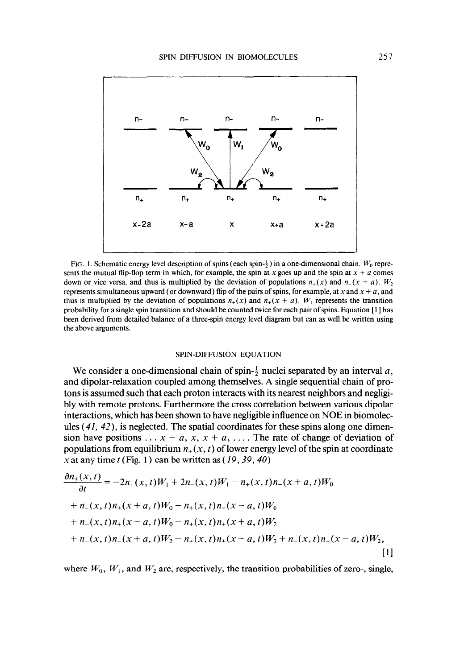

FIG. 1. Schematic energy level description of spins (each spin- $\frac{1}{2}$ ) in a one-dimensional chain.  $W_0$  represents the mutual flip-flop term in which, for example, the spin at x goes up and the spin at  $x + a$  comes down or vice versa, and thus is multiplied by the deviation of populations  $n_+(x)$  and  $n_-(x + a)$ .  $W_2$ represents simultaneous upward (or downward) flip of the pairs of spins, for example, at x and  $x + a$ , and thus is multiplied by the deviation of populations  $n_+(x)$  and  $n_+(x + a)$ . W<sub>I</sub> represents the transition probability for a single spin transition and should be counted twice for each pair of spins. Equation [ 1 ] has been derived from detailed balance of a three-spin energy level diagram but can as well be written using the above arguments.

#### SPIN-DIFFUSION EQUATION

We consider a one-dimensional chain of spin- $\frac{1}{2}$  nuclei separated by an interval a, and dipolar-relaxation coupled among themselves. A single sequential chain of protons is assumed such that each proton interacts with its nearest neighbors and negligibly with remote protons. Furthermore the cross correlation between various dipolar interactions, which has been shown to have negligible influence on NOE in biomolecules  $(41, 42)$ , is neglected. The spatial coordinates for these spins along one dimension have positions ...  $x - a$ ,  $x$ ,  $x + a$ , ... The rate of change of deviation of populations from equilibrium  $n_+(x, t)$  of lower energy level of the spin at coordinate x at any time  $t$  (Fig. 1) can be written as (19, 39, 40)

$$
\frac{\partial n_{+}(x,t)}{\partial t} = -2n_{+}(x,t)W_{1} + 2n_{-}(x,t)W_{1} - n_{+}(x,t)n_{-}(x+a,t)W_{0}
$$
  
+  $n_{-}(x,t)n_{+}(x+a,t)W_{0} - n_{+}(x,t)n_{-}(x-a,t)W_{0}$   
+  $n_{-}(x,t)n_{+}(x-a,t)W_{0} - n_{+}(x,t)n_{+}(x+a,t)W_{2}$   
+  $n_{-}(x,t)n_{-}(x+a,t)W_{2} - n_{+}(x,t)n_{+}(x-a,t)W_{2} + n_{-}(x,t)n_{-}(x-a,t)W_{2},$  [1]

where  $W_0$ ,  $W_1$ , and  $W_2$  are, respectively, the transition probabilities of zero-, single,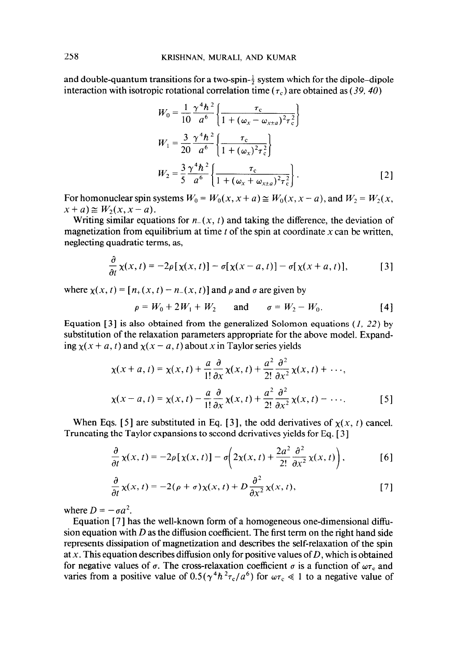and double-quantum transitions for a two-spin- $\frac{1}{2}$  system which for the dipole-dipole interaction with isotropic rotational correlation time ( $\tau_c$ ) are obtained as (39, 40)

$$
W_0 = \frac{1}{10} \frac{\gamma^4 \hbar^2}{a^6} \left\{ \frac{\tau_c}{1 + (\omega_x - \omega_{x \pm a})^2 \tau_c^2} \right\}
$$
  
\n
$$
W_1 = \frac{3}{20} \frac{\gamma^4 \hbar^2}{a^6} \left\{ \frac{\tau_c}{1 + (\omega_x)^2 \tau_c^2} \right\}
$$
  
\n
$$
W_2 = \frac{3}{5} \frac{\gamma^4 \hbar^2}{a^6} \left\{ \frac{\tau_c}{1 + (\omega_x + \omega_{x \pm a})^2 \tau_c^2} \right\}.
$$
\n[2]

For homonuclear spin systems  $W_0 = W_0(x, x + a) \approx W_0(x, x - a)$ , and  $W_2 = W_2(x, x - a)$  $x+a \geq W_2(x, x-a)$ .

Writing similar equations for  $n_{-}(x, t)$  and taking the difference, the deviation of magnetization from equilibrium at time  $t$  of the spin at coordinate  $x$  can be written, neglecting quadratic terms, as,

$$
\frac{\partial}{\partial t}\chi(x,t) = -2\rho[\chi(x,t)] - \sigma[\chi(x-a,t)] - \sigma[\chi(x+a,t)],\tag{3}
$$

where  $\chi(x, t) = [n_+(x, t) - n_-(x, t)]$  and  $\rho$  and  $\sigma$  are given by

$$
\rho = W_0 + 2W_1 + W_2 \quad \text{and} \quad \sigma = W_2 - W_0. \tag{4}
$$

Equation [3] is also obtained from the generalized Solomon equations (1, 22) by substitution of the relaxation parameters appropriate for the above model. Expanding  $x(x + a, t)$  and  $x(x - a, t)$  about x in Taylor series yields

$$
\chi(x+a,t) = \chi(x,t) + \frac{a}{1!} \frac{\partial}{\partial x} \chi(x,t) + \frac{a^2}{2!} \frac{\partial^2}{\partial x^2} \chi(x,t) + \cdots,
$$
  

$$
\chi(x-a,t) = \chi(x,t) - \frac{a}{1!} \frac{\partial}{\partial x} \chi(x,t) + \frac{a^2}{2!} \frac{\partial^2}{\partial x^2} \chi(x,t) - \cdots.
$$
 [5]

When Eqs. [5] are substituted in Eq. [3], the odd derivatives of  $\chi(x, t)$  cancel. Truncating the Taylor expansions to second derivatives yields for Eq. [ 3 ]

$$
\frac{\partial}{\partial t}\chi(x,t) = -2\rho[\chi(x,t)] - \sigma\left(2\chi(x,t) + \frac{2a^2}{2!}\frac{\partial^2}{\partial x^2}\chi(x,t)\right),\tag{6}
$$

$$
\frac{\partial}{\partial t}\chi(x,t) = -2(\rho + \sigma)\chi(x,t) + D\frac{\partial^2}{\partial x^2}\chi(x,t),
$$
 [7]

where  $D = -\sigma a^2$ .

Equation [ 71 has the well-known form of a homogeneous one-dimensional diffusion equation with D as the diffusion coefficient. The first term on the right hand side represents dissipation of magnetization and describes the self-relaxation of the spin at x. This equation describes diffusion only for positive values of  $D$ , which is obtained for negative values of  $\sigma$ . The cross-relaxation coefficient  $\sigma$  is a function of  $\omega_{\tau_c}$  and varies from a positive value of  $0.5(\gamma^4 h^2 \tau_c/a^6)$  for  $\omega \tau_c \ll 1$  to a negative value of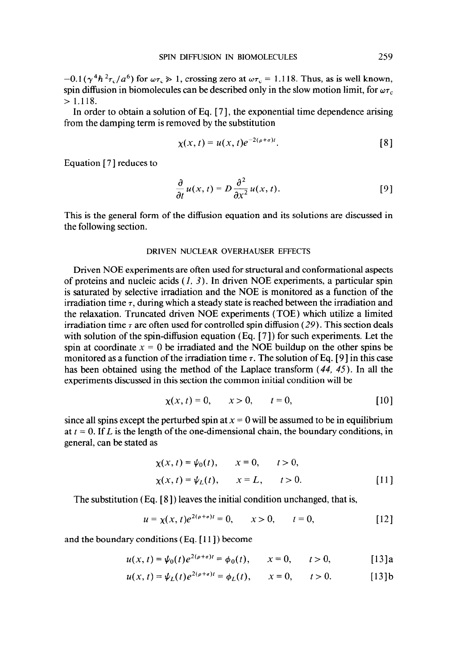$-0.1(\gamma^4 h^2 \tau_c/a^6)$  for  $\omega \tau_c \gg 1$ , crossing zero at  $\omega \tau_c = 1.118$ . Thus, as is well known, spin diffusion in biomolecules can be described only in the slow motion limit, for  $\omega_{\tau}$ ,  $> 1.118.$ 

In order to obtain a solution of Eq.  $[7]$ , the exponential time dependence arising from the damping term is removed by the substitution

$$
\chi(x,t) = u(x,t)e^{-2(\rho+\sigma)t}.\tag{8}
$$

Equation  $[7]$  reduces to

$$
\frac{\partial}{\partial t} u(x, t) = D \frac{\partial^2}{\partial x^2} u(x, t).
$$
 [9]

This is the general form of the diffusion equation and its solutions are discussed in the following section.

### DRIVEN NUCLEAR OVERHAUSER EFFECTS

Driven NOE experiments are often used for structural and conformational aspects of proteins and nucleic acids  $(1, 3)$ . In driven NOE experiments, a particular spin is saturated by selective irradiation and the NOE is monitored as a function of the irradiation time  $\tau$ , during which a steady state is reached between the irradiation and the relaxation. Truncated driven NOE experiments (TOE) which utilize a limited irradiation time  $\tau$  are often used for controlled spin diffusion (29). This section deals with solution of the spin-diffusion equation  $(Eq, [7])$  for such experiments. Let the spin at coordinate  $x = 0$  be irradiated and the NOE buildup on the other spins be monitored as a function of the irradiation time  $\tau$ . The solution of Eq. [9] in this case has been obtained using the method of the Laplace transform (44, 45). In all the experiments discussed in this section the common initial condition will be

$$
\chi(x, t) = 0, \qquad x > 0, \qquad t = 0,
$$
 [10]

since all spins except the perturbed spin at  $x = 0$  will be assumed to be in equilibrium at  $t = 0$ . If L is the length of the one-dimensional chain, the boundary conditions, in general, can be stated as

$$
\chi(x, t) = \psi_0(t), \qquad x = 0, \qquad t > 0,
$$
  

$$
\chi(x, t) = \psi_L(t), \qquad x = L, \qquad t > 0.
$$
 [11]

The substitution (Eq. [8]) leaves the initial condition unchanged, that is,

$$
u = \chi(x, t)e^{2(\rho + \sigma)t} = 0, \qquad x > 0, \qquad t = 0,
$$
 [12]

and the boundary conditions (Eq. [ 111) become

$$
u(x, t) = \psi_0(t)e^{2(\rho + \sigma)t} = \phi_0(t), \qquad x = 0, \qquad t > 0,
$$
 [13]a

$$
u(x, t) = \psi_L(t) e^{2(\rho + \sigma)t} = \phi_L(t), \qquad x = 0, \qquad t > 0.
$$
 [13]b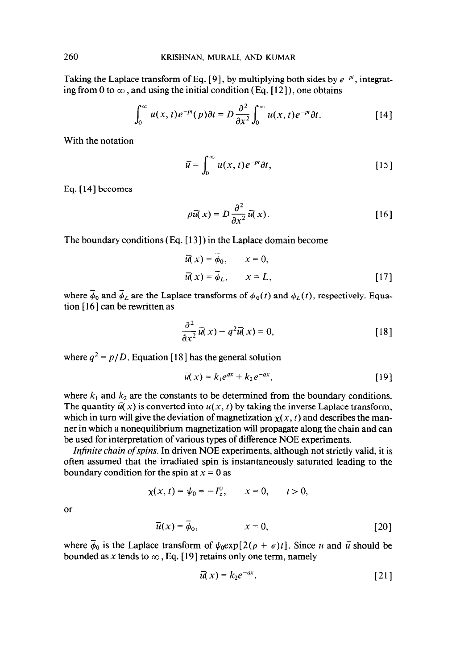Taking the Laplace transform of Eq. [9], by multiplying both sides by  $e^{-pt}$ , integrating from 0 to  $\infty$ , and using the initial condition (Eq. [12]), one obtains

$$
\int_0^\infty u(x,t)e^{-pt}(p)\partial t = D\frac{\partial^2}{\partial x^2}\int_0^\infty u(x,t)e^{-pt}\partial t.
$$
 [14]

With the notation

$$
\bar{u} = \int_0^\infty u(x, t) e^{-\rho t} dt, \qquad [15]
$$

Eq. [14] becomes

$$
p\overline{u}(x) = D\frac{\partial^2}{\partial x^2}\overline{u}(x).
$$
 [16]

The boundary conditions (Eq. [ 13 ] ) in the Laplace domain become

$$
\overline{u}(x) = \overline{\phi}_0, \qquad x = 0,
$$
  

$$
\overline{u}(x) = \overline{\phi}_L, \qquad x = L,
$$
 [17]

where  $\phi_0$  and  $\phi_L$  are the Laplace transforms of  $\phi_0(t)$  and  $\phi_L(t)$ , respectively. Equation  $[16]$  can be rewritten as

$$
\frac{\partial^2}{\partial x^2} \overline{u}(x) - q^2 \overline{u}(x) = 0, \qquad [18]
$$

where  $q^2 = p/D$ . Equation [18] has the general solution

$$
\overline{u}(x) = k_1 e^{ax} + k_2 e^{-ax}, \qquad [19]
$$

where  $k_1$  and  $k_2$  are the constants to be determined from the boundary conditions. The quantity  $\overline{u}(x)$  is converted into  $u(x, t)$  by taking the inverse Laplace transform, which in turn will give the deviation of magnetization  $\chi(x, t)$  and describes the manner in which a nonequilibrium magnetization will propagate along the chain and can be used for interpretation of various types of difference NOE experiments.

Infinite chain of spins. In driven NOE experiments, although not strictly valid, it is often assumed that the irradiated spin is instantaneously saturated leading to the boundary condition for the spin at  $x = 0$  as

$$
\chi(x, t) = \psi_0 = -I_z^0, \qquad x = 0, \qquad t > 0,
$$

or

$$
\overline{u}(x) = \phi_0, \qquad x = 0, \qquad [20]
$$

where  $\overline{\phi}_0$  is the Laplace transform of  $\psi_0 \exp[2(\rho + \sigma)t]$ . Since u and  $\overline{u}$  should be bounded as x tends to  $\infty$ , Eq. [19] retains only one term, namely

$$
\bar{u}(x) = k_2 e^{-qx}.
$$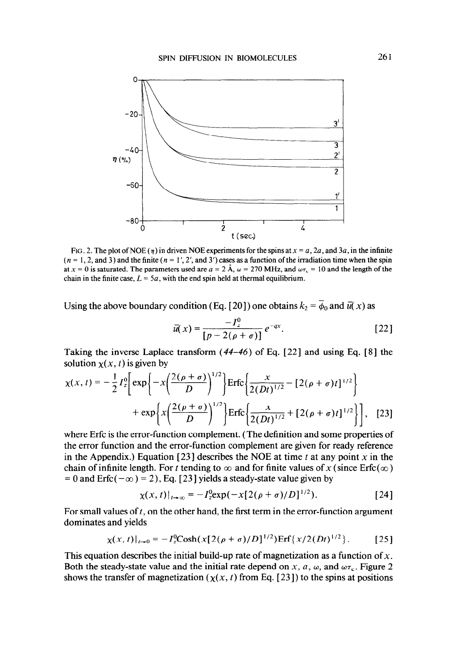

FIG. 2. The plot of NOE ( $\eta$ ) in driven NOE experiments for the spins at  $x = a$ , 2a, and 3a, in the infinite  $(n = 1, 2, \text{and } 3)$  and the finite  $(n = 1', 2', \text{and } 3')$  cases as a function of the irradiation time when the spin at  $x = 0$  is saturated. The parameters used are  $a = 2 \text{ Å}$ ,  $\omega = 270 \text{ MHz}$ , and  $\omega \tau_c = 10$  and the length of the chain in the finite case,  $L = 5a$ , with the end spin held at thermal equilibrium.

Using the above boundary condition (Eq. [20]) one obtains  $k_2 = \overline{\phi}_0$  and  $\overline{u}(x)$  as

$$
\bar{u}(x) = \frac{-I_z^0}{[p - 2(\rho + \sigma)]} e^{-qx}.
$$
 [22]

Taking the inverse Laplace transform  $(44-46)$  of Eq. [22] and using Eq. [8] the solution  $\chi(x, t)$  is given by

$$
\chi(x,t) = -\frac{1}{2}I_2^0 \left[ \exp\left\{-x\left(\frac{2(\rho+\sigma)}{D}\right)^{1/2}\right\} \text{Erfc}\left\{\frac{x}{2(Dt)^{1/2}} - [2(\rho+\sigma)t]^{1/2}\right\} + \exp\left\{x\left(\frac{2(\rho+\sigma)}{D}\right)^{1/2}\right\} \text{Erfc}\left\{\frac{x}{2(Dt)^{1/2}} + [2(\rho+\sigma)t]^{1/2}\right\}\right], \quad [23]
$$

where Erfc is the error-function complement. (The definition and some properties of the error function and the error-function complement are given for ready reference in the Appendix.) Equation [23] describes the NOE at time t at any point x in the chain of infinite length. For t tending to  $\infty$  and for finite values of x (since Erfc( $\infty$ )  $= 0$  and Erfc( $-\infty$ ) = 2), Eq. [23] yields a steady-state value given by

$$
\chi(x,t)|_{t\to\infty} = -I_2^0 \exp(-x[2(\rho+\sigma)/D]^{1/2}).
$$
 [24]

For small values of  $t$ , on the other hand, the first term in the error-function argument dominates and yields

$$
\chi(x,t)|_{t\to 0} = -I_z^0 \cosh(x[2(\rho+\sigma)/D]^{1/2}) \text{Erf}\{x/2(Dt)^{1/2}\}.
$$
 [25]

This equation describes the initial build-up rate of magnetization as a function of  $x$ . Both the steady-state value and the initial rate depend on x, a,  $\omega$ , and  $\omega \tau_c$ . Figure 2 shows the transfer of magnetization ( $\chi(x, t)$  from Eq. [23]) to the spins at positions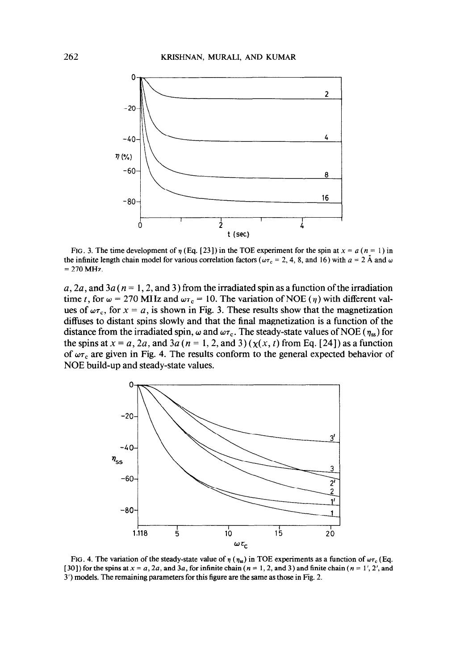

FIG. 3. The time development of  $\eta$  (Eq. [23]) in the TOE experiment for the spin at  $x = a$  ( $n = 1$ ) in the infinite length chain model for various correlation factors ( $\omega\tau_c = 2, 4, 8,$  and 16) with  $a = 2$  Å and  $\omega$  $= 270$  MHz

a, 2a, and 3a ( $n = 1, 2,$  and 3) from the irradiated spin as a function of the irradiation time t, for  $\omega = 270$  MHz and  $\omega \tau_c = 10$ . The variation of NOE ( $\eta$ ) with different values of  $\omega \tau_c$ , for  $x = a$ , is shown in Fig. 3. These results show that the magnetization diffuses to distant spins slowly and that the final magnetization is a function of the distance from the irradiated spin,  $\omega$  and  $\omega \tau_c$ . The steady-state values of NOE ( $\eta_{ss}$ ) for the spins at  $x = a$ , 2a, and 3a (n = 1, 2, and 3)( $x(x, t)$  from Eq. [24]) as a function of  $\omega\tau_c$  are given in Fig. 4. The results conform to the general expected behavior of NOE build-up and steady-state values.



FIG. 4. The variation of the steady-state value of  $\eta$  ( $\eta_{ss}$ ) in TOE experiments as a function of  $\omega\tau_c$  (Eq. [30]) for the spins at  $x = a$ , 2a, and 3a, for infinite chain ( $n = 1, 2$ , and 3) and finite chain ( $n = 1'$ , 2', and 3') models. The remaining parameters for this figure are the same as those in Fig. 2.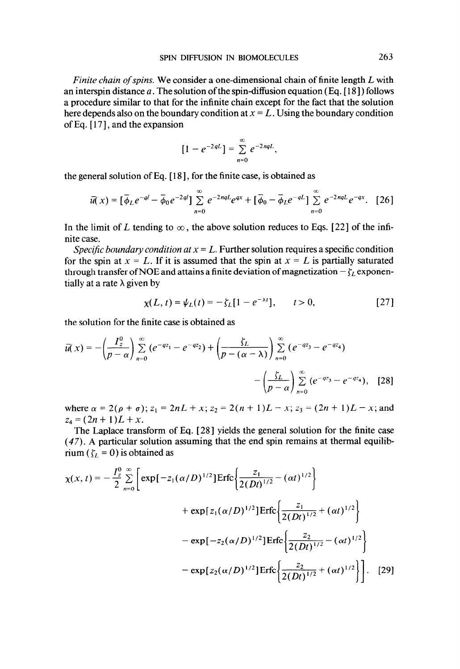Finite chain of spins. We consider a one-dimensional chain of finite length  $L$  with an interspin distance a. The solution of the spin-diffusion equation (Eq.  $[18]$ ) follows a procedure similar to that for the infinite chain except for the fact that the solution here depends also on the boundary condition at  $x = L$ . Using the boundary condition of Eq. [ 171, and the expansion

$$
[1-e^{-2qL}]=\sum_{n=0}^{\infty}e^{-2nqL},
$$

the general solution of Eq. [ 181, for the finite case, is obtained as

$$
\bar{u}(x) = [\bar{\phi}_L e^{-ql} - \bar{\phi}_0 e^{-2ql}] \sum_{n=0}^{\infty} e^{-2nql} e^{qx} + [\bar{\phi}_0 - \bar{\phi}_L e^{-ql}] \sum_{n=0}^{\infty} e^{-2nql} e^{-qx}. \quad [26]
$$

In the limit of L tending to  $\infty$ , the above solution reduces to Eqs. [22] of the infinite case.

Specific boundary condition at  $x = L$ . Further solution requires a specific condition for the spin at  $x = L$ . If it is assumed that the spin at  $x = L$  is partially saturated through transfer of NOE and attains a finite deviation of magnetization  $-\zeta_L$  exponentially at a rate  $\lambda$  given by

$$
\chi(L, t) = \psi_L(t) = -\zeta_L[1 - e^{-\lambda t}], \qquad t > 0,
$$
 [27]

the solution for the finite case is obtained as

$$
\overline{u}(x) = -\left(\frac{I_2^0}{p-\alpha}\right) \sum_{n=0}^{\infty} \left(e^{-qz_1} - e^{-qz_2}\right) + \left(\frac{\zeta_L}{p-(\alpha-\lambda)}\right) \sum_{n=0}^{\infty} \left(e^{-qz_3} - e^{-qz_4}\right) - \left(\frac{\zeta_L}{p-\alpha}\right) \sum_{n=0}^{\infty} \left(e^{-qz_3} - e^{-qz_4}\right), \quad [28]
$$

where  $\alpha = 2(\rho + \sigma)$ ;  $z_1 = 2nL + x$ ;  $z_2 = 2(n + 1)L - x$ ;  $z_3 = (2n + 1)L - x$ ; and  $z_4 = (2n + 1)L + x.$ 

The Laplace transform of Eq. [28] yields the general solution for the finite case (47). A particular solution assuming that the end spin remains at thermal equilibrium ( $\zeta_l = 0$ ) is obtained as

$$
\chi(x,t) = -\frac{I_{z}^{0}}{2} \sum_{n=0}^{\infty} \left[ \exp[-z_{1}(\alpha/D)^{1/2}] \text{Erfc} \left\{ \frac{z_{1}}{2(Dt)^{1/2}} - (\alpha t)^{1/2} \right\} + \exp[z_{1}(\alpha/D)^{1/2}] \text{Erfc} \left\{ \frac{z_{1}}{2(Dt)^{1/2}} + (\alpha t)^{1/2} \right\} - \exp[-z_{2}(\alpha/D)^{1/2}] \text{Erfc} \left\{ \frac{z_{2}}{2(Dt)^{1/2}} - (\alpha t)^{1/2} \right\} - \exp[z_{2}(\alpha/D)^{1/2}] \text{Erfc} \left\{ \frac{z_{2}}{2(Dt)^{1/2}} + (\alpha t)^{1/2} \right\} \right].
$$
 [29]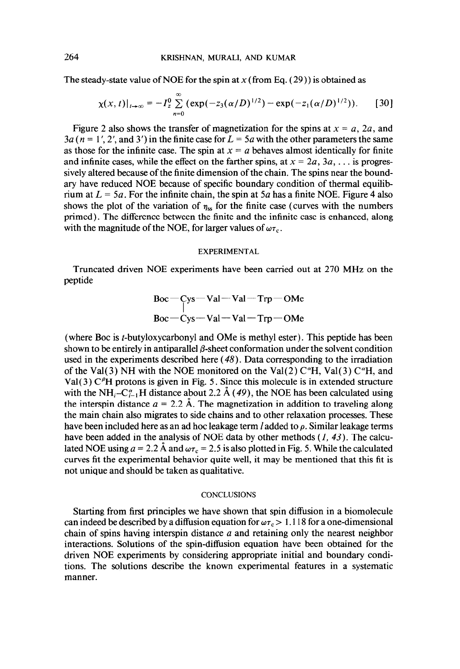The steady-state value of NOE for the spin at  $x$  (from Eq. (29)) is obtained as

$$
\chi(x, t)|_{t\to\infty} = -I_2^0 \sum_{n=0}^{\infty} (\exp(-z_3(\alpha/D)^{1/2}) - \exp(-z_1(\alpha/D)^{1/2})).
$$
 [30]

Figure 2 also shows the transfer of magnetization for the spins at  $x = a$ , 2a, and  $3a (n = 1', 2', and 3')$  in the finite case for  $L = 5a$  with the other parameters the same as those for the infinite case. The spin at  $x = a$  behaves almost identically for finite and infinite cases, while the effect on the farther spins, at  $x = 2a, 3a, \dots$  is progressively altered because of the finite dimension of the chain. The spins near the boundary have reduced NOE because of specific boundary condition of thermal equilibrium at  $L = 5a$ . For the infinite chain, the spin at  $5a$  has a finite NOE. Figure 4 also shows the plot of the variation of  $\eta_{ss}$  for the finite case (curves with the numbers primed). The difference between the finite and the infinite case is enhanced, along with the magnitude of the NOE, for larger values of  $\omega\tau_c$ .

#### EXPERIMENTAL

Truncated driven NOE experiments have been carried out at 270 MHz on the peptide

$$
\begin{array}{c}\n\text{Boc} - \text{Cys} - \text{Val} - \text{Val} - \text{Trp} - \text{OMe} \\
\text{Boc} - \text{Cys} - \text{Val} - \text{Val} - \text{Trp} - \text{OMe}\n\end{array}
$$

(where Boc is t-butyloxycarbonyl and OMe is methyl ester). This peptide has been shown to be entirely in antiparallel  $\beta$ -sheet conformation under the solvent condition used in the experiments described here (48). Data corresponding to the irradiation of the Val(3) NH with the NOE monitored on the Val(2)  $C^{\alpha}H$ , Val(3)  $C^{\alpha}H$ , and Val(3)  $C<sup>\beta</sup>H$  protons is given in Fig. 5. Since this molecule is in extended structure with the NH<sub>i</sub>-C<sub>i-1</sub>H distance about 2.2 Å (49), the NOE has been calculated using the interspin distance  $a = 2.2$  Å. The magnetization in addition to traveling along the main chain also migrates to side chains and to other relaxation processes. These have been included here as an ad hoc leakage term *l* added to  $\rho$ . Similar leakage terms have been added in the analysis of NOE data by other methods  $(1, 43)$ . The calculated NOE using  $a = 2.2$  Å and  $\omega \tau_c = 2.5$  is also plotted in Fig. 5. While the calculated curves fit the experimental behavior quite well, it may be mentioned that this fit is not unique and should be taken as qualitative.

# **CONCLUSIONS**

Starting from first principles we have shown that spin diffusion in a biomolecule can indeed be described by a diffusion equation for  $\omega \tau_c > 1.118$  for a one-dimensional chain of spins having interspin distance a and retaining only the nearest neighbor interactions. Solutions of the spin-diffusion equation have been obtained for the driven NOE experiments by considering appropriate initial and boundary conditions. The solutions describe the known experimental features in a systematic manner.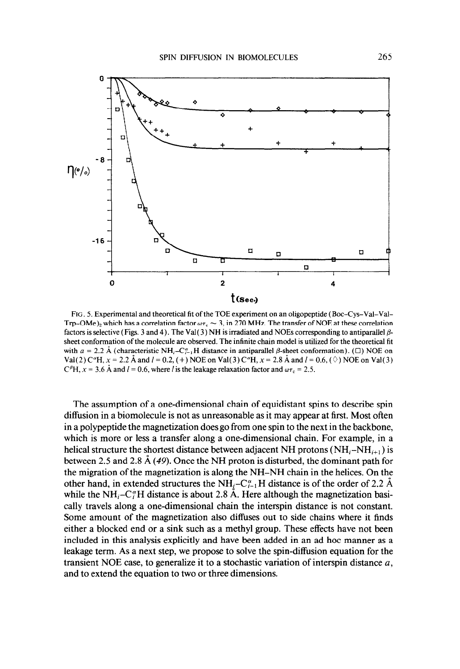

FIG. 5. Experimental and theoretical fit of the TOE experiment on an oligopeptide (Boc-Cys-Val-Val-Trp-OMe)<sub>2</sub> which has a correlation factor  $\omega \tau_c \sim 3$ , in 270 MHz. The transfer of NOE at these correlation factors is selective (Figs. 3 and 4). The Val(3) NH is irradiated and NOEs corresponding to antiparallel  $\beta$ sheet conformation of the molecule are observed. The infinite chain model is utilized for the theoretical fit with  $a = 2.2 \text{ Å}$  (characteristic NH<sub>i</sub>-C<sub>i-1</sub>H distance in antiparallel  $\beta$ -sheet conformation). ( $\Box$ ) NOE on Val(2) C<sup> $\alpha$ </sup>H,  $x = 2.2$  Å and  $l = 0.2$ , (+) NOE on Val(3) C $\alpha$ <sup>H</sup>,  $x = 2.8$  Å and  $l = 0.6$ , ( $\Diamond$ ) NOE on Val(3)  $C<sup>\beta</sup>H$ ,  $x = 3.6$  Å and  $I = 0.6$ , where l is the leakage relaxation factor and  $\omega \tau_c = 2.5$ .

The assumption of a one-dimensional chain of equidistant spins to describe spin diffusion in a biomolecule is not as unreasonable as it may appear at first. Most often in a polypeptide the magnetization does go from one spin to the next in the backbone, which is more or less a transfer along a one-dimensional chain. For example, in a helical structure the shortest distance between adjacent NH protons ( $NH_i-MH_{i+1}$ ) is between 2.5 and 2.8 A (49). Once the NH proton is disturbed, the dominant path for the migration of the magnetization is along the NH-NH chain in the helices. On the other hand, in extended structures the NH<sub>i</sub>-C<sub>i-1</sub>H distance is of the order of 2.2 A while the NH<sub>i</sub>-C<sub>i</sub>H distance is about 2.8 A. Here although the magnetization basically travels along a one-dimensional chain the interspin distance is not constant. Some amount of the magnetization also diffuses out to side chains where it finds either a blocked end or a sink such as a methyl group. These effects have not been included in this analysis explicitly and have been added in an ad hoc manner as a leakage term. As a next step, we propose to solve the spin-diffusion equation for the transient NOE case, to generalize it to a stochastic variation of interspin distance  $a$ , and to extend the equation to two or three dimensions.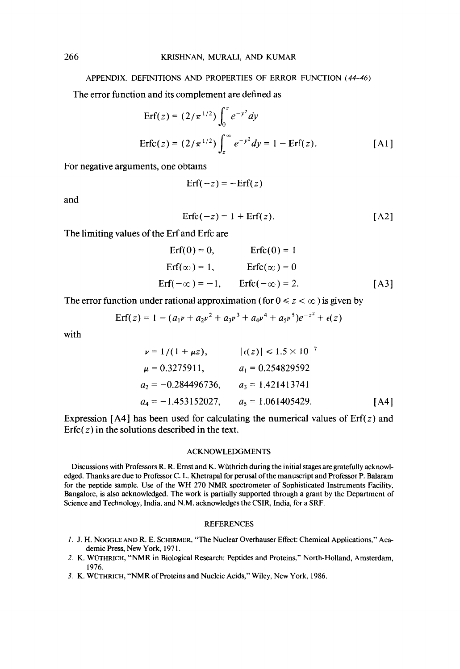# APPENDIX. DEFINITIONS AND PROPERTIES OF ERROR FUNCTION (44-46)

The error function and its complement are defined as

$$
\text{Erf}(z) = (2/\pi^{1/2}) \int_0^z e^{-y^2} dy
$$
\n
$$
\text{Erfc}(z) = (2/\pi^{1/2}) \int_z^\infty e^{-y^2} dy = 1 - \text{Erf}(z).
$$
\n[A1]

For negative arguments, one obtains

$$
Erf(-z) = -Erf(z)
$$

and

$$
Erfc(-z) = 1 + Erf(z). \qquad [A2]
$$

The limiting values of the Erf and Erfc are

$$
\begin{aligned}\n\text{Erf}(0) &= 0, & \text{Erfc}(0) &= 1 \\
\text{Erf}(\infty) &= 1, & \text{Erfc}(\infty) &= 0 \\
\text{Erf}(-\infty) &= -1, & \text{Erfc}(-\infty) &= 2.\n\end{aligned}
$$
\n
$$
\begin{aligned}\n\text{(A3)}\n\end{aligned}
$$

The error function under rational approximation (for  $0 \le z \le \infty$ ) is given by

$$
Erf(z) = 1 - (a_1v + a_2v^2 + a_3v^3 + a_4v^4 + a_5v^5)e^{-z^2} + \epsilon(z)
$$

with

$$
\nu = 1/(1 + \mu z), \qquad |\epsilon(z)| \le 1.5 \times 10^{-7}
$$
  
\n
$$
\mu = 0.3275911, \qquad a_1 = 0.254829592
$$
  
\n
$$
a_2 = -0.284496736, \qquad a_3 = 1.421413741
$$
  
\n
$$
a_4 = -1.453152027, \qquad a_5 = 1.061405429.
$$
 [A4]

Expression [A4] has been used for calculating the numerical values of  $Erf(z)$  and Erfc $(z)$  in the solutions described in the text.

#### ACKNOWLEDGMENTS

Discussions with Professors R. R. Ernst and K. Wiithrich during the initial stages are gratefully acknowledged. Thanks are due to Professor C. L. Khetrapal for perusal of the manuscript and Professor P. Balaram for the peptide sample. Use of the WH 270 NMR spectrometer of Sophisticated Instruments Facility, Bangalore, is also acknowledged. The work is partially supported through a grant by the Department of Science and Technology, India, and N.M. acknowledges the CSIR, India, for a SRF.

# REFERENCES

- I. J. H. NOCGLE AND R. E. SCHIRMER, "The Nuclear Overhauser Effect: Chemical Applications," Academic Press, New York, 1971.
- 2. K. WÜTHRICH, "NMR in Biological Research: Peptides and Proteins," North-Holland, Amsterdam, 1976.
- 3. K. WÜTHRICH, "NMR of Proteins and Nucleic Acids," Wiley, New York, 1986.